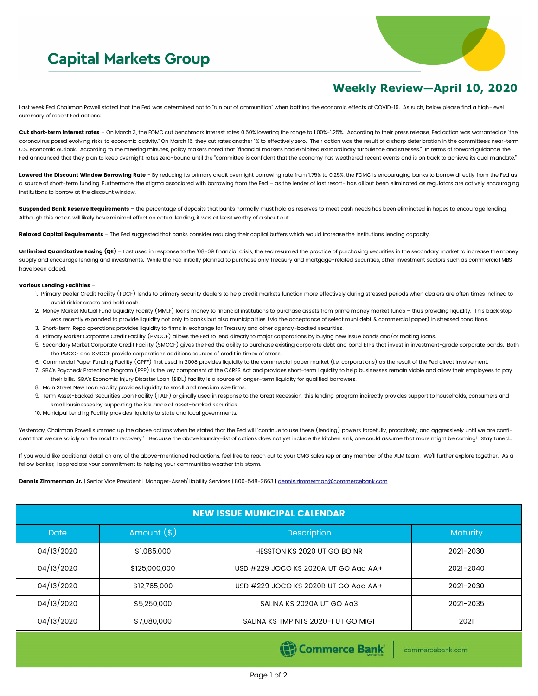## **Capital Markets Group**



## **Weekly Review—April 10, 2020**

Last week Fed Chairman Powell stated that the Fed was determined not to "run out of ammunition" when battling the economic effects of COVID-19. As such, below please find a high-level summary of recent Fed actions:

Cut short-term interest rates - On March 3, the FOMC cut benchmark interest rates 0.50% lowering the range to 1.00%-1.25%. According to their press release, Fed action was warranted as "the coronavirus posed evolving risks to economic activity." On March 15, they cut rates another 1% to effectively zero. Their action was the result of a sharp deterioration in the committee's near-term U.S. economic outlook. According to the meeting minutes, policy makers noted that "financial markets had exhibited extraordinary turbulence and stresses." In terms of forward guidance, the Fed announced that they plan to keep overnight rates zero-bound until the "committee is confident that the economy has weathered recent events and is on track to achieve its dual mandate."

Lowered the Discount Window Borrowing Rate - By reducing its primary credit overnight borrowing rate from 1.75% to 0.25%, the FOMC is encouraging banks to borrow directly from the Fed as a source of short-term funding. Furthermore, the stigma associated with borrowing from the Fed - as the lender of last resort- has all but been eliminated as regulators are actively encouraging institutions to borrow at the discount window.

Suspended Bank Reserve Requirements - the percentage of deposits that banks normally must hold as reserves to meet cash needs has been eliminated in hopes to encourage lending. Although this action will likely have minimal effect on actual lending, it was at least worthy of a shout out.

Relaxed Capital Requirements - The Fed suggested that banks consider reducing their capital buffers which would increase the institutions lending capacity.

Unlimited Quantitative Easing (QE) - Last used in response to the '08-09 financial crisis, the Fed resumed the practice of purchasing securities in the secondary market to increase the money supply and encourage lending and investments. While the Fed initially planned to purchase only Treasury and mortgage-related securities, other investment sectors such as commercial MBS have been added.

## Various Lending Facilities –

- 1. Primary Dealer Credit Facility (PDCF) lends to primary security dealers to help credit markets function more effectively during stressed periods when dealers are often times inclined to avoid riskier assets and hold cash.
- 2. Money Market Mutual Fund Liquidity Facility (MMLF) loans money to financial institutions to purchase assets from prime money market funds thus providing liquidity. This back stop was recently expanded to provide liquidity not only to banks but also municipalities (via the acceptance of select muni debt & commercial paper) in stressed conditions.
- 3. Short-term Repo operations provides liquidity to firms in exchange for Treasury and other agency-backed securities.
- 4. Primary Market Corporate Credit Facility (PMCCF) allows the Fed to lend directly to major corporations by buying new issue bonds and/or making loans.
- 5. Secondary Market Corporate Credit Facility (SMCCF) gives the Fed the ability to purchase existing corporate debt and bond ETFs that invest in investment-grade corporate bonds. Both the PMCCF and SMCCF provide corporations additions sources of credit in times of stress.
- 6. Commercial Paper Funding Facility (CPFF) first used in 2008 provides liquidity to the commercial paper market (i.e. corporations) as the result of the Fed direct involvement.
- 7. SBA's Paycheck Protection Program (PPP) is the key component of the CARES Act and provides short-term liquidity to help businesses remain viable and allow their employees to pay their bills. SBA's Economic Injury Disaster Loan (EIDL) facility is a source of longer-term liquidity for qualified borrowers.
- 8. Main Street New Loan Facility provides liquidity to small and medium size firms.
- 9. Term Asset-Backed Securities Loan Facility (TALF) originally used in response to the Great Recession, this lending program indirectly provides support to households, consumers and small businesses by supporting the issuance of asset-backed securities.
- 10. Municipal Lending Facility provides liquidity to state and local governments.

Yesterday, Chairman Powell summed up the above actions when he stated that the Fed will "continue to use these (lending) powers forcefully, proactively, and aggressively until we are confident that we are solidly on the road to recovery." Because the above laundry-list of actions does not yet include the kitchen sink, one could assume that more might be coming! Stay tuned...

If you would like additional detail on any of the above-mentioned Fed actions, feel free to reach out to your CMG sales rep or any member of the ALM team. We'll further explore together. As a fellow banker, I appreciate your commitment to helping your communities weather this storm.

Dennis Zimmerman Jr. | Senior Vice President | Manager-Asset/Liability Services | 800-548-2663 | [dennis.zimmerman@commercebank.com](mailto:Dennis.Zimmerman@commercebank.com)

| <b>NEW ISSUE MUNICIPAL CALENDAR</b> |               |                                      |                 |  |  |
|-------------------------------------|---------------|--------------------------------------|-----------------|--|--|
| Date                                | Amount $(*)$  | Description                          | <b>Maturity</b> |  |  |
| 04/13/2020                          | \$1,085,000   | HESSTON KS 2020 UT GO BQ NR          | 2021-2030       |  |  |
| 04/13/2020                          | \$125,000,000 | USD #229 JOCO KS 2020A UT GO Agg AA+ | 2021-2040       |  |  |
| 04/13/2020                          | \$12,765,000  | USD #229 JOCO KS 2020B UT GO Agg AA+ | 2021-2030       |  |  |
| 04/13/2020                          | \$5,250,000   | SALINA KS 2020A UT GO Ag3            | 2021-2035       |  |  |
| 04/13/2020                          | \$7,080,000   | SALINA KS TMP NTS 2020-1 UT GO MIGI  | 2021            |  |  |

Commerce Bank

commercebank.com